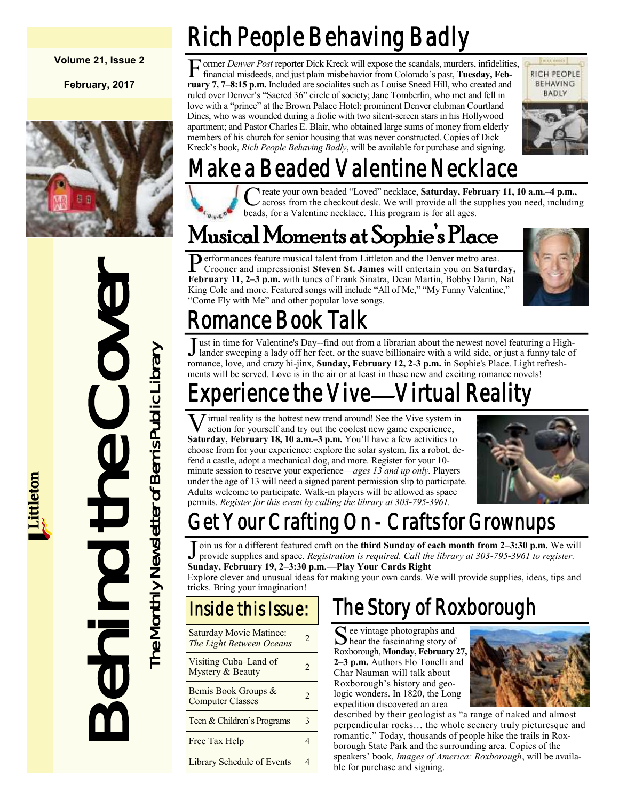#### **Volume 21, Issue 2**

**February, 2017**



F ormer *Denver Post* reporter Dick Kreck will expose the scandals, murders, infidelities, financial misdeeds, and just plain misbehavior from Colorado's past, **Tuesday, February 7, 7–8:15 p.m.** Included are socialites such as Louise Sneed Hill, who created and ruled over Denver's "Sacred 36" circle of society; Jane Tomberlin, who met and fell in love with a "prince" at the Brown Palace Hotel; prominent Denver clubman Courtland Dines, who was wounded during a frolic with two silent-screen stars in his Hollywood apartment; and Pastor Charles E. Blair, who obtained large sums of money from elderly members of his church for senior housing that was never constructed. Copies of Dick Kreck's book, *Rich People Behaving Badly*, will be available for purchase and signing.

Rich People Behaving Badly



# Make a Beaded Valentine Necklace

C reate your own beaded "Loved" necklace, Saturday, Feb across from the checkout desk. We will provide all the s<br>beads, for a Valentine necklace. This program is for all ages. reate your own beaded "Loved" necklace, **Saturday, February 11, 10 a.m.–4 p.m.,**  across from the checkout desk. We will provide all the supplies you need, including

## Musical Moments at Sophie's Place

Performances feature musical talent from Littleton and the Denver metro area.<br>Crooner and impressionist Steven St. James will entertain you on Sature Crooner and impressionist **Steven St. James** will entertain you on **Saturday, February 11, 2–3 p.m.** with tunes of Frank Sinatra, Dean Martin, Bobby Darin, Nat King Cole and more. Featured songs will include "All of Me," "My Funny Valentine," "Come Fly with Me" and other popular love songs.



# Romance Book Talk

Just in time for Valentine's Day--find out from a librarian about the newest novel featuring a Hig lander sweeping a lady off her feet, or the suave billionaire with a wild side, or just a funny tale romance, love, and cra ust in time for Valentine's Day--find out from a librarian about the newest novel featuring a Highlander sweeping a lady off her feet, or the suave billionaire with a wild side, or just a funny tale of ments will be served. Love is in the air or at least in these new and exciting romance novels!

# xperience the Vive—Virtual Reality

**V** irtual reality is the hottest new trend around! See the Vive system ir action for yourself and try out the coolest new game experience, **Saturday, February 18, 10 a.m.–3 p.m.** You'll have a few activities to irtual reality is the hottest new trend around! See the Vive system in action for yourself and try out the coolest new game experience, choose from for your experience: explore the solar system, fix a robot, defend a castle, adopt a mechanical dog, and more. Register for your 10 minute session to reserve your experience—*ages 13 and up only.* Players under the age of 13 will need a signed parent permission slip to participate. Adults welcome to participate. Walk-in players will be allowed as space permits. *Register for this event by calling the library at 303-795-3961.*



# Get Your Crafting On - Crafts for Grownups

J oin us for a different featured craft on the **third Sunday of each month from 2–3:30 p.m.** We will provide supplies and space. *Registration is required. Call the library at* 303-795-3961 to register. provide supplies and space. *Registration is required. Call the library at 303-795-3961 to register.* **Sunday, February 19, 2–3:30 p.m.—Play Your Cards Right**

Explore clever and unusual ideas for making your own cards. We will provide supplies, ideas, tips and tricks. Bring your imagination!

## Inside this Issue:

| Saturday Movie Matinee:<br>The Light Between Oceans | $\mathfrak{D}$ |
|-----------------------------------------------------|----------------|
| Visiting Cuba–Land of<br>Mystery & Beauty           | $\mathfrak{D}$ |
| Bemis Book Groups &<br><b>Computer Classes</b>      | $\mathfrak{D}$ |
| Teen & Children's Programs                          | 3              |
| Free Tax Help                                       |                |
| <b>Library Schedule of Events</b>                   |                |

## The Story of Roxborough

See vintage photographs and<br>hear the fascinating story of  $\bigcup$  hear the fascinating story of Roxborough, **Monday, February 27, 2–3 p.m.** Authors Flo Tonelli and Char Nauman will talk about Roxborough's history and geologic wonders. In 1820, the Long expedition discovered an area



described by their geologist as "a range of naked and almost perpendicular rocks… the whole scenery truly picturesque and romantic." Today, thousands of people hike the trails in Roxborough State Park and the surrounding area. Copies of the speakers' book, *Images of America: Roxborough*, will be available for purchase and signing.



# **Behind the Cover**<br>The Monthly Newsletter of Bemis Public Library The Monthly Newsletter of Bemis Public Library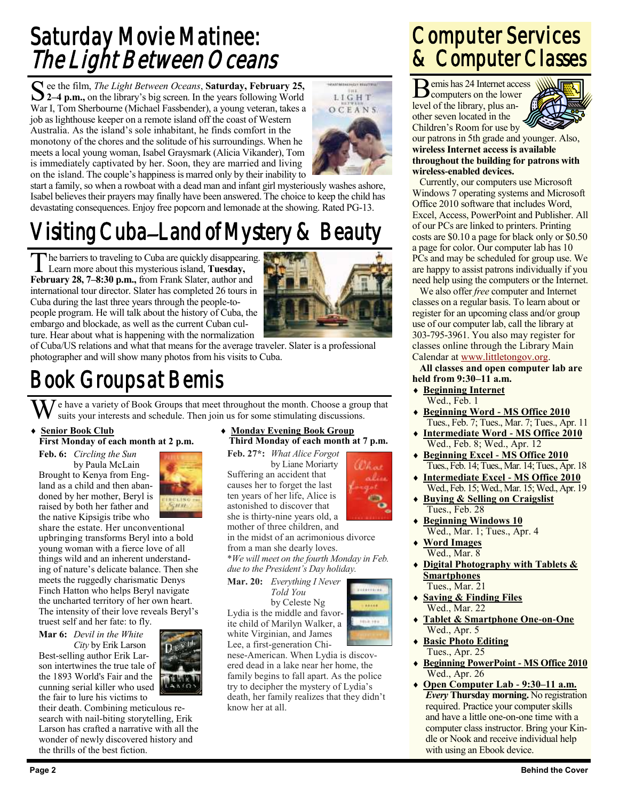## Saturday Movie Matinee: The Light Between Oceans

See the film, *The Light Between Oceans*, **Saturday**, February 25,<br>2–4 p.m., on the library's big screen. In the years following World ee the film, *The Light Between Oceans*, **Saturday, February 25,**  War I, Tom Sherbourne (Michael Fassbender), a young veteran, takes a job as lighthouse keeper on a remote island off the coast of Western Australia. As the island's sole inhabitant, he finds comfort in the monotony of the chores and the solitude of his surroundings. When he meets a local young woman, Isabel Graysmark (Alicia Vikander), Tom is immediately captivated by her. Soon, they are married and living on the island. The couple's happiness is marred only by their inability to



start a family, so when a rowboat with a dead man and infant girl mysteriously washes ashore, Isabel believes their prayers may finally have been answered. The choice to keep the child has devastating consequences. Enjoy free popcorn and lemonade at the showing. Rated PG-13.

# Visiting Cuba–Land of Mystery & Beauty

The barriers to traveling to Cuba are quickly disappeari<br>Learn more about this mysterious island, **Tuesday,** he barriers to traveling to Cuba are quickly disappearing. **February 28, 7–8:30 p.m.,** from Frank Slater, author and international tour director. Slater has completed 26 tours in Cuba during the last three years through the people-topeople program. He will talk about the history of Cuba, the embargo and blockade, as well as the current Cuban culture. Hear about what is happening with the normalization



of Cuba/US relations and what that means for the average traveler. Slater is a professional photographer and will show many photos from his visits to Cuba.

## Book Groups at Bemis

 $\sum_{n=1}^{\infty} I$  e have a variety of Book Groups that meet throughout the month. Choose a group that suits your interests and schedule. Then join us for some stimulating discussions.

#### **Senior Book Club**

#### **First Monday of each month at 2 p.m.**

**Feb. 6:** *Circling the Sun* by Paula McLain Brought to Kenya from England as a child and then abandoned by her mother, Beryl is raised by both her father and



the native Kipsigis tribe who share the estate. Her unconventional upbringing transforms Beryl into a bold young woman with a fierce love of all things wild and an inherent understanding of nature's delicate balance. Then she meets the ruggedly charismatic Denys Finch Hatton who helps Beryl navigate the uncharted territory of her own heart. The intensity of their love reveals Beryl's truest self and her fate: to fly.

**Mar 6:** *Devil in the White*

*City* by Erik Larson Best-selling author Erik Larson intertwines the true tale of the 1893 World's Fair and the cunning serial killer who used the fair to lure his victims to

their death. Combining meticulous research with nail-biting storytelling, Erik Larson has crafted a narrative with all the wonder of newly discovered history and the thrills of the best fiction.

#### **Monday Evening Book Group Third Monday of each month at 7 p.m.**

**Feb. 27\*:** *What Alice Forgot* by Liane Moriarty Suffering an accident that

causes her to forget the last ten years of her life, Alice is astonished to discover that she is thirty-nine years old, a mother of three children, and

in the midst of an acrimonious divorce from a man she dearly loves. \**We will meet on the fourth Monday in Feb. due to the President's Day holiday.*

**Mar. 20:** *Everything I Never Told You*

by Celeste Ng Lydia is the middle and favorite child of Marilyn Walker, a white Virginian, and James Lee, a first-generation Chi-

nese-American. When Lydia is discovered dead in a lake near her home, the family begins to fall apart. As the police try to decipher the mystery of Lydia's death, her family realizes that they didn't know her at all.

## Computer Services & Computer Classes

Bemis has 24 Internet access<br>
computers on the lower computers on the lower level of the library, plus another seven located in the Children's Room for use by



our patrons in 5th grade and younger. Also, **wireless Internet access is available throughout the building for patrons with wireless-enabled devices.**

Currently, our computers use Microsoft Windows 7 operating systems and Microsoft Office 2010 software that includes Word, Excel, Access, PowerPoint and Publisher. All of our PCs are linked to printers. Printing costs are \$0.10 a page for black only or \$0.50 a page for color. Our computer lab has 10 PCs and may be scheduled for group use. We are happy to assist patrons individually if you need help using the computers or the Internet.

We also offer *free* computer and Internet classes on a regular basis. To learn about or register for an upcoming class and/or group use of our computer lab, call the library at 303-795-3961. You also may register for classes online through the Library Main Calendar at [www.littletongov.org.](http://www.littletongov.org/city-services/city-departments/bemis-library/library-events-calendar)

**All classes and open computer lab are held from 9:30–11 a.m.**

- **Beginning Internet** Wed., Feb. 1
- **Beginning Word - MS Office 2010** Tues., Feb. 7; Tues., Mar. 7; Tues., Apr. 11
- **Intermediate Word - MS Office 2010** Wed., Feb. 8; Wed., Apr. 12
- **Beginning Excel - MS Office 2010** Tues., Feb. 14; Tues., Mar. 14; Tues., Apr. 18
- **Intermediate Excel - MS Office 2010** Wed., Feb. 15; Wed., Mar. 15; Wed., Apr. 19
- **Buying & Selling on Craigslist** Tues., Feb. 28
- **Beginning Windows 10** Wed., Mar. 1; Tues., Apr. 4
- **Word Images** Wed., Mar. 8
- **Digital Photography with Tablets & Smartphones** Tues., Mar. 21
- **Saving & Finding Files** Wed., Mar. 22
- **Tablet & Smartphone One-on-One** Wed., Apr. 5
- **Basic Photo Editing** Tues., Apr. 25
- **Beginning PowerPoint - MS Office 2010** Wed., Apr. 26
- **Open Computer Lab - 9:30–11 a.m.** *Every* **Thursday morning.** No registration required. Practice your computer skills and have a little one-on-one time with a computer class instructor. Bring your Kindle or Nook and receive individual help with using an Ebook device.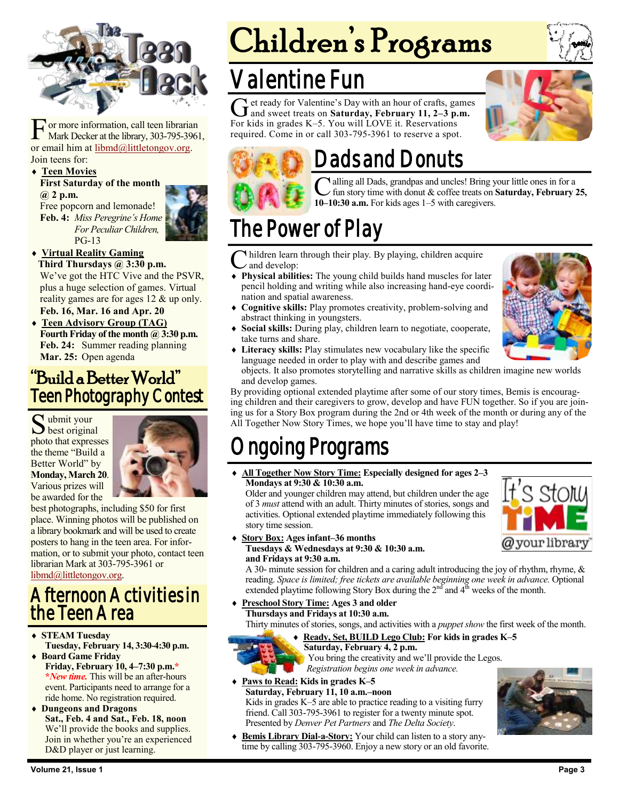

**F** or more information, call teen librarian<br>Mark Decker at the library, 303-795-39<br>or email him at <u>libmd@littletongov.org</u>. or more information, call teen librarian Mark Decker at the library, 303-795-3961, Join teens for:

#### **Teen Movies**

#### **First Saturday of the month @ 2 p.m.**

Free popcorn and lemonade! **Feb. 4:** *Miss Peregrine's Home For Peculiar Children,* PG-13

#### **Virtual Reality Gaming**

**Third Thursdays @ 3:30 p.m.** We've got the HTC Vive and the PSVR, plus a huge selection of games. Virtual reality games are for ages 12 & up only.

#### **Feb. 16, Mar. 16 and Apr. 20**

 **Teen Advisory Group (TAG)** Fourth Friday of the month @ 3:30 p.m. **Feb. 24:** Summer reading planning **Mar. 25:** Open agenda

### "Build a Better World" Teen Photography Contest

 $S<sub>best</sub>$  original ubmit your photo that expresses the theme "Build a Better World" by **Monday, March 20**. Various prizes will be awarded for the



best photographs, including \$50 for first place. Winning photos will be published on a library bookmark and will be used to create posters to hang in the teen area. For information, or to submit your photo, contact teen librarian Mark at 303-795-3961 or [libmd@littletongov.org.](mailto:libmd@littletongov.org)

## Afternoon Activities in the Teen Area

- **STEAM Tuesday Tuesday, February 14, 3:30-4:30 p.m. Board Game Friday**
- **Friday, February 10, 4–7:30 p.m.\* \****New time.* This will be an after-hours event. Participants need to arrange for a ride home. No registration required.
- **Dungeons and Dragons Sat., Feb. 4 and Sat., Feb. 18, noon** We'll provide the books and supplies. Join in whether you're an experienced D&D player or just learning.

# Children's Programs

## Valentine Fun

Get ready for Valentine's Day with an hour of crafts, game<br>and sweet treats on **Saturday, February 11, 2–3 p.m.** et ready for Valentine's Day with an hour of crafts, games For kids in grades K–5. You will LOVE it. Reservations required. Come in or call 303-795-3961 to reserve a spot.





## Dads and Donuts

**C** alling all Dads, grandpas and uncles! Bring y fun story time with donut & coffee treats on 10–10:30 **a.m.** For kids ages 1–5 with caregivers. alling all Dads, grandpas and uncles! Bring your little ones in for a fun story time with donut & coffee treats on **Saturday, February 25,** 

## The Power of Play

C hildren learn through their play. By playing, children acquire<br>and develop: and develop:

- **Physical abilities:** The young child builds hand muscles for later pencil holding and writing while also increasing hand-eye coordination and spatial awareness.
- **Cognitive skills:** Play promotes creativity, problem-solving and abstract thinking in youngsters.
- **Social skills:** During play, children learn to negotiate, cooperate, take turns and share.
- **Literacy skills:** Play stimulates new vocabulary like the specific language needed in order to play with and describe games and



objects. It also promotes storytelling and narrative skills as children imagine new worlds and develop games.

By providing optional extended playtime after some of our story times, Bemis is encouraging children and their caregivers to grow, develop and have FUN together. So if you are joining us for a Story Box program during the 2nd or 4th week of the month or during any of the All Together Now Story Times, we hope you'll have time to stay and play!

## ngoing Programs

 **All Together Now Story Time: Especially designed for ages 2–3 Mondays at 9:30 & 10:30 a.m.**

Older and younger children may attend, but children under the age of 3 *must* attend with an adult. Thirty minutes of stories, songs and activities. Optional extended playtime immediately following this story time session.



#### **Story Box: Ages infant–36 months Tuesdays & Wednesdays at 9:30 & 10:30 a.m. and Fridays at 9:30 a.m.**

A 30- minute session for children and a caring adult introducing the joy of rhythm, rhyme,  $\&$ reading. *Space is limited; free tickets are available beginning one week in advance.* Optional extended playtime following Story Box during the  $2<sup>nd</sup>$  and  $4<sup>th</sup>$  weeks of the month.

#### **Preschool Story Time: Ages 3 and older**

**Thursdays and Fridays at 10:30 a.m.**

Thirty minutes of stories, songs, and activities with a *puppet show* the first week of the month.

#### **Ready, Set, BUILD Lego Club: For kids in grades K–5**



**Saturday, February 4, 2 p.m.** You bring the creativity and we'll provide the Legos.

*Registration begins one week in advance.*

 **Paws to Read: Kids in grades K–5 Saturday, February 11, 10 a.m.–noon** Kids in grades K–5 are able to practice reading to a visiting furry friend. Call 303-795-3961 to register for a twenty minute spot. Presented by *Denver Pet Partners* and *The Delta Society*.



 **Bemis Library Dial-a-Story:** Your child can listen to a story anytime by calling 303-795-3960. Enjoy a new story or an old favorite.